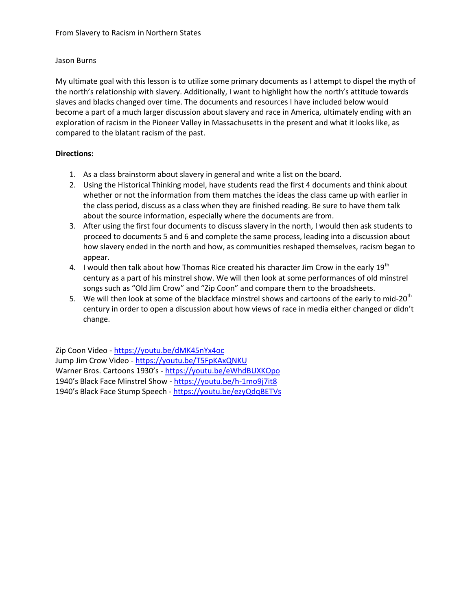## Jason Burns

My ultimate goal with this lesson is to utilize some primary documents as I attempt to dispel the myth of the north's relationship with slavery. Additionally, I want to highlight how the north's attitude towards slaves and blacks changed over time. The documents and resources I have included below would become a part of a much larger discussion about slavery and race in America, ultimately ending with an exploration of racism in the Pioneer Valley in Massachusetts in the present and what it looks like, as compared to the blatant racism of the past.

## **Directions:**

- 1. As a class brainstorm about slavery in general and write a list on the board.
- 2. Using the Historical Thinking model, have students read the first 4 documents and think about whether or not the information from them matches the ideas the class came up with earlier in the class period, discuss as a class when they are finished reading. Be sure to have them talk about the source information, especially where the documents are from.
- 3. After using the first four documents to discuss slavery in the north, I would then ask students to proceed to documents 5 and 6 and complete the same process, leading into a discussion about how slavery ended in the north and how, as communities reshaped themselves, racism began to appear.
- 4. I would then talk about how Thomas Rice created his character Jim Crow in the early 19<sup>th</sup> century as a part of his minstrel show. We will then look at some performances of old minstrel songs such as "Old Jim Crow" and "Zip Coon" and compare them to the broadsheets.
- 5. We will then look at some of the blackface minstrel shows and cartoons of the early to mid-20 $^{\text{th}}$ century in order to open a discussion about how views of race in media either changed or didn't change.

Zip Coon Video - <https://youtu.be/dMK45nYx4oc> Jump Jim Crow Video - <https://youtu.be/T5FpKAxQNKU> Warner Bros. Cartoons 1930's - <https://youtu.be/eWhdBUXKOpo> 1940's Black Face Minstrel Show - <https://youtu.be/h-1mo9j7it8> 1940's Black Face Stump Speech - <https://youtu.be/ezyQdqBETVs>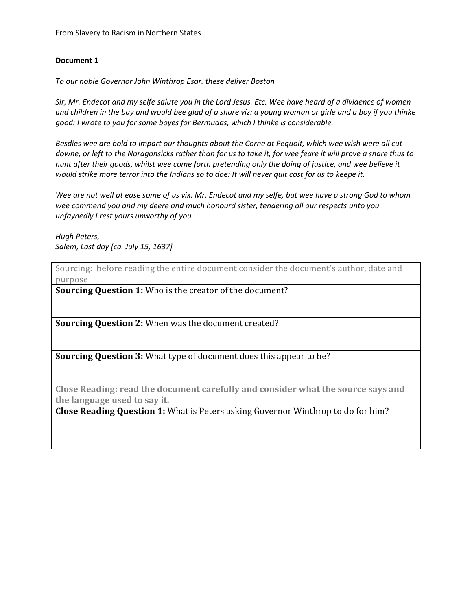## **Document 1**

*To our noble Governor John Winthrop Esqr. these deliver Boston*

*Sir, Mr. Endecot and my selfe salute you in the Lord Jesus. Etc. Wee have heard of a dividence of women and children in the bay and would bee glad of a share viz: a young woman or girle and a boy if you thinke good: I wrote to you for some boyes for Bermudas, which I thinke is considerable.*

*Besdies wee are bold to impart our thoughts about the Corne at Pequoit, which wee wish were all cut downe, or left to the Naragansicks rather than for us to take it, for wee feare it will prove a snare thus to hunt after their goods, whilst wee come forth pretending only the doing of justice, and wee believe it would strike more terror into the Indians so to doe: It will never quit cost for us to keepe it.*

*Wee are not well at ease some of us vix. Mr. Endecot and my selfe, but wee have a strong God to whom wee commend you and my deere and much honourd sister, tendering all our respects unto you unfaynedly I rest yours unworthy of you.*

*Hugh Peters, Salem, Last day [ca. July 15, 1637]*

Sourcing: before reading the entire document consider the document's author, date and purpose

**Sourcing Question 1:** Who is the creator of the document?

**Sourcing Question 2:** When was the document created?

**Sourcing Question 3:** What type of document does this appear to be?

**Close Reading: read the document carefully and consider what the source says and the language used to say it.**

**Close Reading Question 1:** What is Peters asking Governor Winthrop to do for him?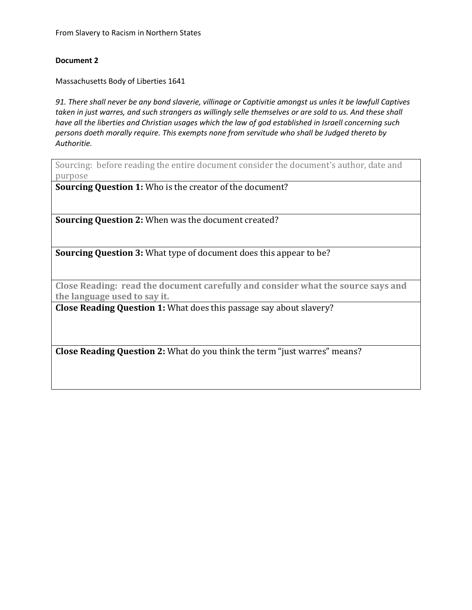From Slavery to Racism in Northern States

#### **Document 2**

Massachusetts Body of Liberties 1641

*91. There shall never be any bond slaverie, villinage or Captivitie amongst us unles it be lawfull Captives taken in just warres, and such strangers as willingly selle themselves or are sold to us. And these shall have all the liberties and Christian usages which the law of god established in Israell concerning such persons doeth morally require. This exempts none from servitude who shall be Judged thereto by Authoritie.*

Sourcing: before reading the entire document consider the document's author, date and purpose

**Sourcing Question 1:** Who is the creator of the document?

**Sourcing Question 2:** When was the document created?

**Sourcing Question 3:** What type of document does this appear to be?

**Close Reading: read the document carefully and consider what the source says and the language used to say it.**

**Close Reading Question 1:** What does this passage say about slavery?

**Close Reading Question 2:** What do you think the term "just warres" means?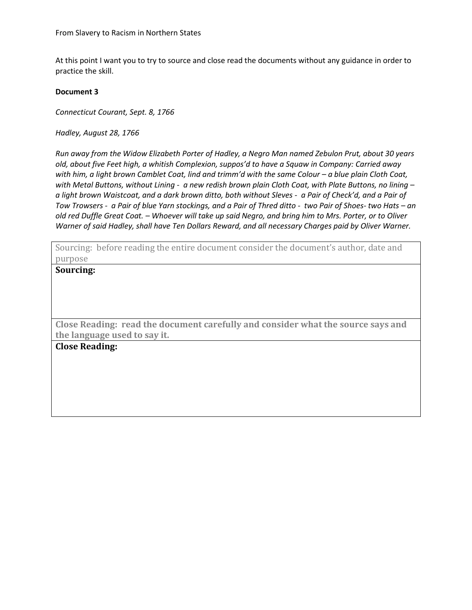At this point I want you to try to source and close read the documents without any guidance in order to practice the skill.

#### **Document 3**

*Connecticut Courant, Sept. 8, 1766*

*Hadley, August 28, 1766*

*Run away from the Widow Elizabeth Porter of Hadley, a Negro Man named Zebulon Prut, about 30 years old, about five Feet high, a whitish Complexion, suppos'd to have a Squaw in Company: Carried away with him, a light brown Camblet Coat, lind and trimm'd with the same Colour – a blue plain Cloth Coat, with Metal Buttons, without Lining - a new redish brown plain Cloth Coat, with Plate Buttons, no lining – a light brown Waistcoat, and a dark brown ditto, both without Sleves - a Pair of Check'd, and a Pair of Tow Trowsers - a Pair of blue Yarn stockings, and a Pair of Thred ditto - two Pair of Shoes- two Hats – an old red Duffle Great Coat. – Whoever will take up said Negro, and bring him to Mrs. Porter, or to Oliver Warner of said Hadley, shall have Ten Dollars Reward, and all necessary Charges paid by Oliver Warner.*

Sourcing: before reading the entire document consider the document's author, date and purpose

**Sourcing:**

**Close Reading: read the document carefully and consider what the source says and the language used to say it.**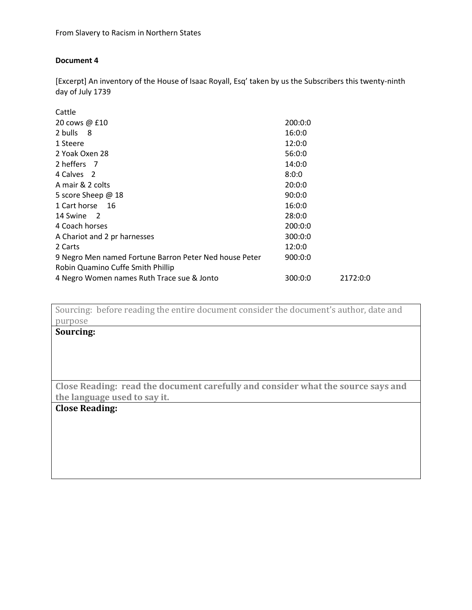## **Document 4**

[Excerpt] An inventory of the House of Isaac Royall, Esq' taken by us the Subscribers this twenty-ninth day of July 1739

| Cattle                                                 |         |          |
|--------------------------------------------------------|---------|----------|
| 20 cows $\omega$ £10                                   | 200:0:0 |          |
| 2 bulls 8                                              | 16:0:0  |          |
| 1 Steere                                               | 12:0:0  |          |
| 2 Yoak Oxen 28                                         | 56:0:0  |          |
| 2 heffers 7                                            | 14:0:0  |          |
| 4 Calves 2                                             | 8:0:0   |          |
| A mair & 2 colts                                       | 20:0:0  |          |
| 5 score Sheep @ 18                                     | 90:0:0  |          |
| 1 Cart horse<br>- 16                                   | 16:0:0  |          |
| 14 Swine<br>$\overline{2}$                             | 28:0:0  |          |
| 4 Coach horses                                         | 200:0:0 |          |
| A Chariot and 2 pr harnesses                           | 300:0:0 |          |
| 2 Carts                                                | 12:0:0  |          |
| 9 Negro Men named Fortune Barron Peter Ned house Peter | 900:0:0 |          |
| Robin Quamino Cuffe Smith Phillip                      |         |          |
| 4 Negro Women names Ruth Trace sue & Jonto             | 300:0:0 | 2172:0:0 |

Sourcing: before reading the entire document consider the document's author, date and purpose

# **Sourcing:**

**Close Reading: read the document carefully and consider what the source says and the language used to say it.**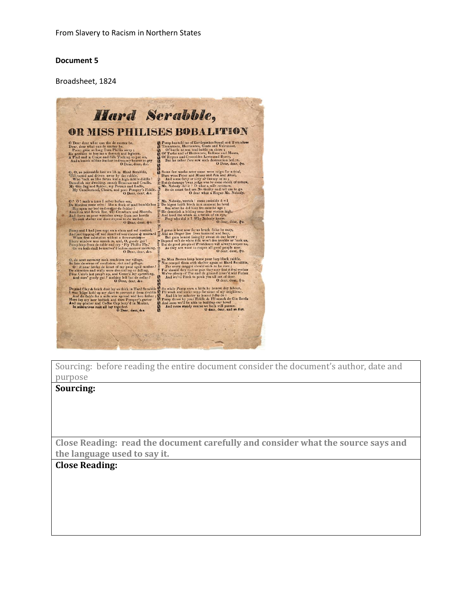#### **Document 5**

Broadsheet, 1824



Sourcing: before reading the entire document consider the document's author, date and purpose

#### **Sourcing:**

**Close Reading: read the document carefully and consider what the source says and the language used to say it.**